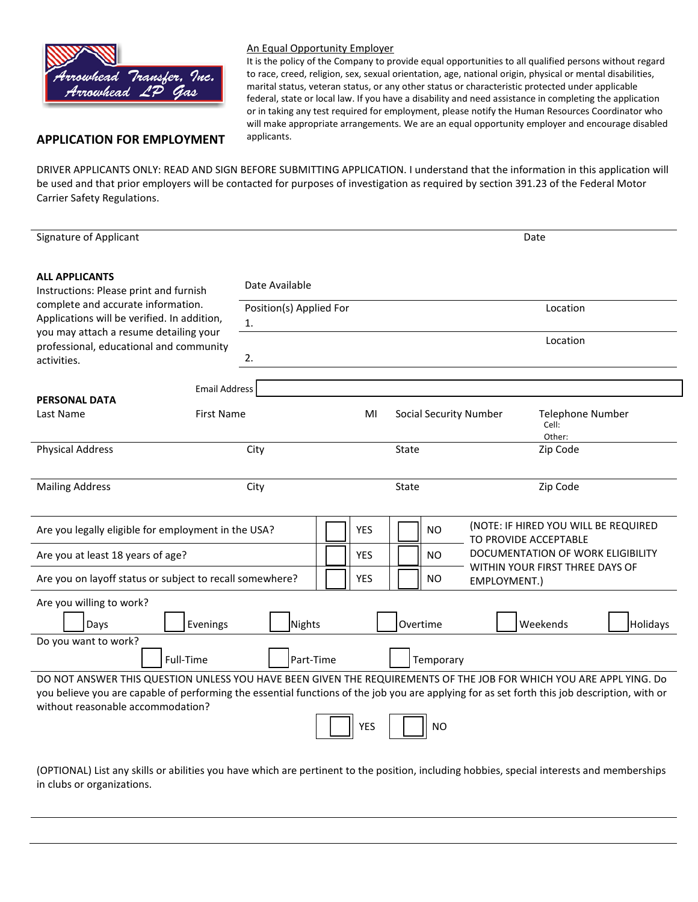

### An Equal Opportunity Employer

It is the policy of the Company to provide equal opportunities to all qualified persons without regard to race, creed, religion, sex, sexual orientation, age, national origin, physical or mental disabilities, marital status, veteran status, or any other status or characteristic protected under applicable federal, state or local law. If you have a disability and need assistance in completing the application or in taking any test required for employment, please notify the Human Resources Coordinator who will make appropriate arrangements. We are an equal opportunity employer and encourage disabled

# **APPLICATION FOR EMPLOYMENT** applicants.

DRIVER APPLICANTS ONLY: READ AND SIGN BEFORE SUBMITTING APPLICATION. I understand that the information in this application will be used and that prior employers will be contacted for purposes of investigation as required by section 391.23 of the Federal Motor Carrier Safety Regulations.

| <b>Signature of Applicant</b><br>Date<br><b>ALL APPLICANTS</b><br>Date Available<br>Instructions: Please print and furnish<br>complete and accurate information.<br>Position(s) Applied For<br>Location<br>Applications will be verified. In addition,<br>1.<br>you may attach a resume detailing your<br>Location<br>professional, educational and community<br>2.<br>activities.<br><b>Email Address</b><br><b>PERSONAL DATA</b><br>Last Name<br><b>First Name</b><br><b>Social Security Number</b><br><b>Telephone Number</b><br>MI<br>Cell:<br>Other:<br><b>Physical Address</b><br>Zip Code<br>City<br>State<br><b>Mailing Address</b><br>Zip Code<br>City<br>State<br>(NOTE: IF HIRED YOU WILL BE REQUIRED<br><b>YES</b><br><b>NO</b><br>Are you legally eligible for employment in the USA?<br>TO PROVIDE ACCEPTABLE<br>DOCUMENTATION OF WORK ELIGIBILITY<br><b>YES</b><br><b>NO</b><br>Are you at least 18 years of age?<br>WITHIN YOUR FIRST THREE DAYS OF |                                   |  |  |  |  |  |  |  |  |
|---------------------------------------------------------------------------------------------------------------------------------------------------------------------------------------------------------------------------------------------------------------------------------------------------------------------------------------------------------------------------------------------------------------------------------------------------------------------------------------------------------------------------------------------------------------------------------------------------------------------------------------------------------------------------------------------------------------------------------------------------------------------------------------------------------------------------------------------------------------------------------------------------------------------------------------------------------------------|-----------------------------------|--|--|--|--|--|--|--|--|
|                                                                                                                                                                                                                                                                                                                                                                                                                                                                                                                                                                                                                                                                                                                                                                                                                                                                                                                                                                     |                                   |  |  |  |  |  |  |  |  |
|                                                                                                                                                                                                                                                                                                                                                                                                                                                                                                                                                                                                                                                                                                                                                                                                                                                                                                                                                                     |                                   |  |  |  |  |  |  |  |  |
|                                                                                                                                                                                                                                                                                                                                                                                                                                                                                                                                                                                                                                                                                                                                                                                                                                                                                                                                                                     |                                   |  |  |  |  |  |  |  |  |
|                                                                                                                                                                                                                                                                                                                                                                                                                                                                                                                                                                                                                                                                                                                                                                                                                                                                                                                                                                     |                                   |  |  |  |  |  |  |  |  |
|                                                                                                                                                                                                                                                                                                                                                                                                                                                                                                                                                                                                                                                                                                                                                                                                                                                                                                                                                                     |                                   |  |  |  |  |  |  |  |  |
|                                                                                                                                                                                                                                                                                                                                                                                                                                                                                                                                                                                                                                                                                                                                                                                                                                                                                                                                                                     |                                   |  |  |  |  |  |  |  |  |
|                                                                                                                                                                                                                                                                                                                                                                                                                                                                                                                                                                                                                                                                                                                                                                                                                                                                                                                                                                     |                                   |  |  |  |  |  |  |  |  |
|                                                                                                                                                                                                                                                                                                                                                                                                                                                                                                                                                                                                                                                                                                                                                                                                                                                                                                                                                                     |                                   |  |  |  |  |  |  |  |  |
|                                                                                                                                                                                                                                                                                                                                                                                                                                                                                                                                                                                                                                                                                                                                                                                                                                                                                                                                                                     |                                   |  |  |  |  |  |  |  |  |
|                                                                                                                                                                                                                                                                                                                                                                                                                                                                                                                                                                                                                                                                                                                                                                                                                                                                                                                                                                     |                                   |  |  |  |  |  |  |  |  |
|                                                                                                                                                                                                                                                                                                                                                                                                                                                                                                                                                                                                                                                                                                                                                                                                                                                                                                                                                                     |                                   |  |  |  |  |  |  |  |  |
|                                                                                                                                                                                                                                                                                                                                                                                                                                                                                                                                                                                                                                                                                                                                                                                                                                                                                                                                                                     |                                   |  |  |  |  |  |  |  |  |
|                                                                                                                                                                                                                                                                                                                                                                                                                                                                                                                                                                                                                                                                                                                                                                                                                                                                                                                                                                     |                                   |  |  |  |  |  |  |  |  |
|                                                                                                                                                                                                                                                                                                                                                                                                                                                                                                                                                                                                                                                                                                                                                                                                                                                                                                                                                                     |                                   |  |  |  |  |  |  |  |  |
|                                                                                                                                                                                                                                                                                                                                                                                                                                                                                                                                                                                                                                                                                                                                                                                                                                                                                                                                                                     |                                   |  |  |  |  |  |  |  |  |
| Are you on layoff status or subject to recall somewhere?<br><b>YES</b><br>NO<br>EMPLOYMENT.)                                                                                                                                                                                                                                                                                                                                                                                                                                                                                                                                                                                                                                                                                                                                                                                                                                                                        |                                   |  |  |  |  |  |  |  |  |
| Are you willing to work?                                                                                                                                                                                                                                                                                                                                                                                                                                                                                                                                                                                                                                                                                                                                                                                                                                                                                                                                            |                                   |  |  |  |  |  |  |  |  |
| Evenings<br>Nights<br>Overtime<br>Weekends<br>Days                                                                                                                                                                                                                                                                                                                                                                                                                                                                                                                                                                                                                                                                                                                                                                                                                                                                                                                  | Holidays                          |  |  |  |  |  |  |  |  |
| Do you want to work?                                                                                                                                                                                                                                                                                                                                                                                                                                                                                                                                                                                                                                                                                                                                                                                                                                                                                                                                                |                                   |  |  |  |  |  |  |  |  |
| Part-Time<br>Full-Time<br>Temporary                                                                                                                                                                                                                                                                                                                                                                                                                                                                                                                                                                                                                                                                                                                                                                                                                                                                                                                                 |                                   |  |  |  |  |  |  |  |  |
| DO NOT ANSWER THIS QUESTION UNLESS YOU HAVE BEEN GIVEN THE REQUIREMENTS OF THE JOB FOR WHICH YOU ARE APPL YING. Do                                                                                                                                                                                                                                                                                                                                                                                                                                                                                                                                                                                                                                                                                                                                                                                                                                                  |                                   |  |  |  |  |  |  |  |  |
| you believe you are capable of performing the essential functions of the job you are applying for as set forth this job description, with or                                                                                                                                                                                                                                                                                                                                                                                                                                                                                                                                                                                                                                                                                                                                                                                                                        |                                   |  |  |  |  |  |  |  |  |
|                                                                                                                                                                                                                                                                                                                                                                                                                                                                                                                                                                                                                                                                                                                                                                                                                                                                                                                                                                     | without reasonable accommodation? |  |  |  |  |  |  |  |  |
| <b>YES</b><br><b>NO</b>                                                                                                                                                                                                                                                                                                                                                                                                                                                                                                                                                                                                                                                                                                                                                                                                                                                                                                                                             |                                   |  |  |  |  |  |  |  |  |

(OPTIONAL) List any skills or abilities you have which are pertinent to the position, including hobbies, special interests and memberships in clubs or organizations.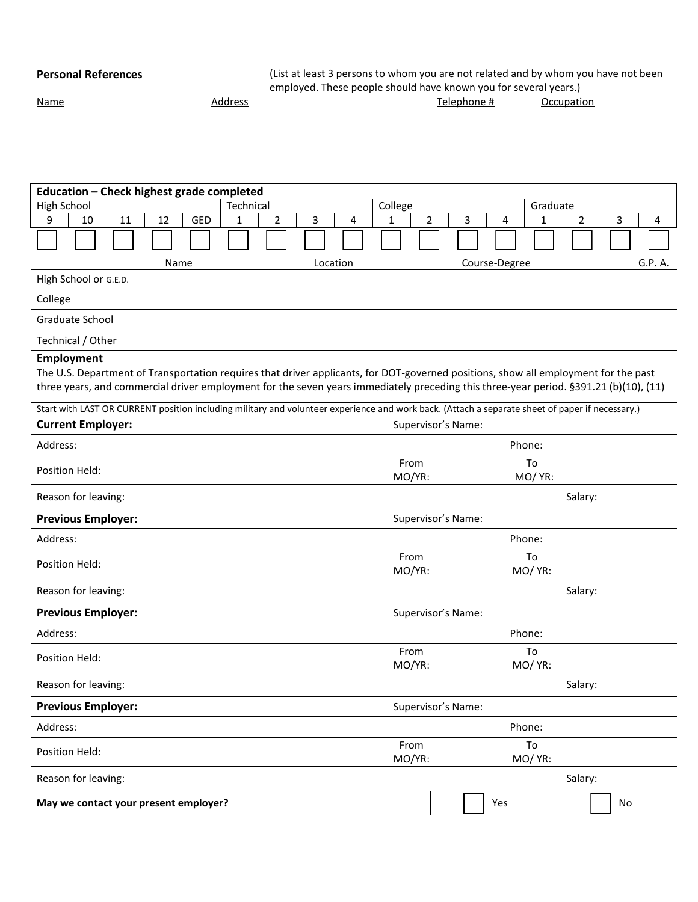**Personal References** (List at least 3 persons to whom you are not related and by whom you have not been employed. These people should have known you for several years.)

| Name | Address |  | <sup>r</sup> elephone i<br>Ħ | Occupation |
|------|---------|--|------------------------------|------------|
|      |         |  |                              |            |

| Education - Check highest grade completed                                                                                                                                                                                                                                                  |                     |          |   |                |                    |               |               |                |    |         |
|--------------------------------------------------------------------------------------------------------------------------------------------------------------------------------------------------------------------------------------------------------------------------------------------|---------------------|----------|---|----------------|--------------------|---------------|---------------|----------------|----|---------|
| High School                                                                                                                                                                                                                                                                                | Technical           |          |   | College        |                    |               |               | Graduate       |    |         |
| 11<br>GED<br>9<br>10<br>12                                                                                                                                                                                                                                                                 | $\overline{2}$<br>1 | 3        | 4 | $\mathbf{1}$   | 3<br>2             | 4             | 1             | $\overline{2}$ | 3  | 4       |
|                                                                                                                                                                                                                                                                                            |                     |          |   |                |                    |               |               |                |    |         |
| Name                                                                                                                                                                                                                                                                                       |                     | Location |   |                |                    | Course-Degree |               |                |    | G.P. A. |
| High School or G.E.D.                                                                                                                                                                                                                                                                      |                     |          |   |                |                    |               |               |                |    |         |
| College                                                                                                                                                                                                                                                                                    |                     |          |   |                |                    |               |               |                |    |         |
| Graduate School                                                                                                                                                                                                                                                                            |                     |          |   |                |                    |               |               |                |    |         |
| Technical / Other                                                                                                                                                                                                                                                                          |                     |          |   |                |                    |               |               |                |    |         |
| Employment<br>The U.S. Department of Transportation requires that driver applicants, for DOT-governed positions, show all employment for the past<br>three years, and commercial driver employment for the seven years immediately preceding this three-year period. §391.21 (b)(10), (11) |                     |          |   |                |                    |               |               |                |    |         |
| Start with LAST OR CURRENT position including military and volunteer experience and work back. (Attach a separate sheet of paper if necessary.)<br><b>Current Employer:</b>                                                                                                                |                     |          |   |                | Supervisor's Name: |               |               |                |    |         |
| Address:                                                                                                                                                                                                                                                                                   |                     |          |   |                |                    |               | Phone:        |                |    |         |
|                                                                                                                                                                                                                                                                                            |                     |          |   | From           |                    |               | To            |                |    |         |
| Position Held:                                                                                                                                                                                                                                                                             |                     |          |   | MO/YR:         |                    |               | MO/ YR:       |                |    |         |
| Reason for leaving:                                                                                                                                                                                                                                                                        |                     |          |   |                |                    |               |               | Salary:        |    |         |
| <b>Previous Employer:</b>                                                                                                                                                                                                                                                                  |                     |          |   |                | Supervisor's Name: |               |               |                |    |         |
| Address:                                                                                                                                                                                                                                                                                   |                     |          |   |                |                    |               | Phone:        |                |    |         |
| Position Held:                                                                                                                                                                                                                                                                             |                     |          |   | From<br>MO/YR: |                    |               | To<br>MO/ YR: |                |    |         |
| Reason for leaving:                                                                                                                                                                                                                                                                        |                     |          |   |                |                    |               |               | Salary:        |    |         |
| <b>Previous Employer:</b>                                                                                                                                                                                                                                                                  |                     |          |   |                | Supervisor's Name: |               |               |                |    |         |
| Address:                                                                                                                                                                                                                                                                                   |                     |          |   |                |                    |               | Phone:        |                |    |         |
| Position Held:                                                                                                                                                                                                                                                                             |                     |          |   | From<br>MO/YR: |                    |               | To<br>MO/ YR: |                |    |         |
| Reason for leaving:                                                                                                                                                                                                                                                                        |                     |          |   |                |                    |               |               | Salary:        |    |         |
| <b>Previous Employer:</b>                                                                                                                                                                                                                                                                  |                     |          |   |                | Supervisor's Name: |               |               |                |    |         |
| Address:                                                                                                                                                                                                                                                                                   |                     |          |   |                |                    |               | Phone:        |                |    |         |
| Position Held:                                                                                                                                                                                                                                                                             |                     |          |   | From<br>MO/YR: |                    |               | To<br>MO/ YR: |                |    |         |
| Reason for leaving:                                                                                                                                                                                                                                                                        |                     |          |   |                |                    |               |               | Salary:        |    |         |
| May we contact your present employer?                                                                                                                                                                                                                                                      |                     |          |   |                |                    | Yes           |               |                | No |         |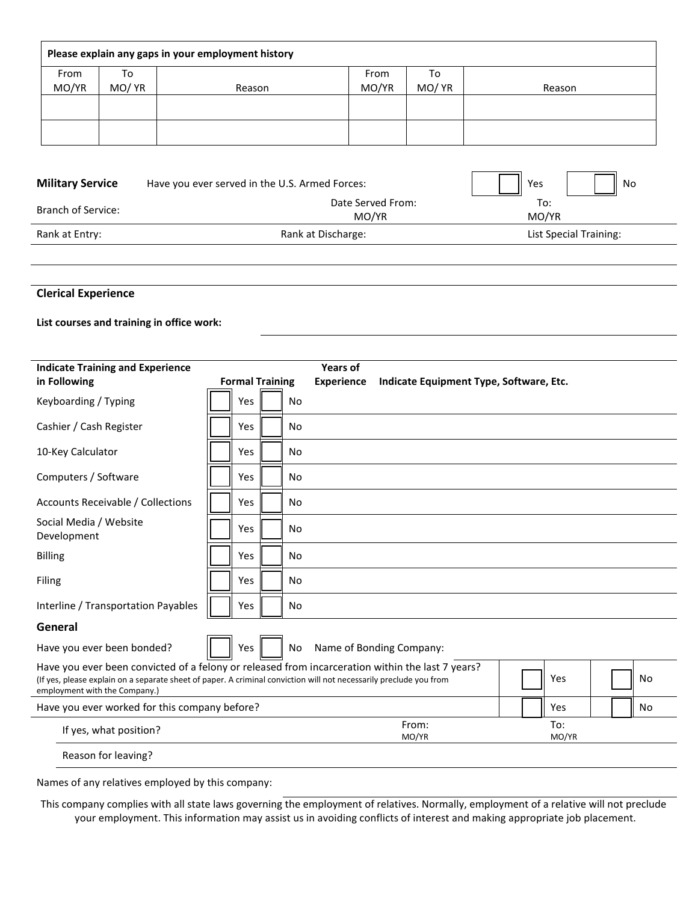|                         |        | Please explain any gaps in your employment history |       |       |           |
|-------------------------|--------|----------------------------------------------------|-------|-------|-----------|
| From                    | To     |                                                    | From  | To    |           |
| MO/YR                   | MO/ YR | Reason                                             | MO/YR | MO/YR | Reason    |
|                         |        |                                                    |       |       |           |
|                         |        |                                                    |       |       |           |
| <b>Military Service</b> |        | Have you ever served in the U.S. Armed Forces:     |       |       | Yes<br>No |

| <b>IVILIILAI V JUI VILL</b> | $\frac{1}{2}$      | ر ب<br>טייון<br>Ш      |
|-----------------------------|--------------------|------------------------|
| <b>Branch of Service:</b>   | Date Served From:  | To:                    |
|                             | MO/YR              | MO/YR                  |
| Rank at Entry:              | Rank at Discharge: | List Special Training: |

### **Clerical Experience**

## **List courses and training in office work:**

| <b>Indicate Training and Experience</b>                                                                                                                                                                                                                 |                        |           | <b>Years of</b>   |                                         |  |              |    |
|---------------------------------------------------------------------------------------------------------------------------------------------------------------------------------------------------------------------------------------------------------|------------------------|-----------|-------------------|-----------------------------------------|--|--------------|----|
| in Following                                                                                                                                                                                                                                            | <b>Formal Training</b> |           | <b>Experience</b> | Indicate Equipment Type, Software, Etc. |  |              |    |
| Keyboarding / Typing                                                                                                                                                                                                                                    | Yes                    | <b>No</b> |                   |                                         |  |              |    |
| Cashier / Cash Register                                                                                                                                                                                                                                 | Yes                    | No        |                   |                                         |  |              |    |
| 10-Key Calculator                                                                                                                                                                                                                                       | Yes                    | No        |                   |                                         |  |              |    |
| Computers / Software                                                                                                                                                                                                                                    | Yes                    | <b>No</b> |                   |                                         |  |              |    |
| Accounts Receivable / Collections                                                                                                                                                                                                                       | Yes                    | <b>No</b> |                   |                                         |  |              |    |
| Social Media / Website<br>Development                                                                                                                                                                                                                   | Yes                    | No        |                   |                                         |  |              |    |
| <b>Billing</b>                                                                                                                                                                                                                                          | Yes                    | No        |                   |                                         |  |              |    |
| Filing                                                                                                                                                                                                                                                  | Yes                    | No        |                   |                                         |  |              |    |
| Interline / Transportation Payables                                                                                                                                                                                                                     | Yes                    | No        |                   |                                         |  |              |    |
| General                                                                                                                                                                                                                                                 |                        |           |                   |                                         |  |              |    |
| Have you ever been bonded?                                                                                                                                                                                                                              | Yes                    | <b>No</b> |                   | Name of Bonding Company:                |  |              |    |
| Have you ever been convicted of a felony or released from incarceration within the last 7 years?<br>(If yes, please explain on a separate sheet of paper. A criminal conviction will not necessarily preclude you from<br>employment with the Company.) |                        |           |                   |                                         |  | Yes          | No |
| Have you ever worked for this company before?                                                                                                                                                                                                           |                        |           |                   |                                         |  | Yes          | No |
| If yes, what position?                                                                                                                                                                                                                                  |                        |           |                   | From:<br>MO/YR                          |  | To:<br>MO/YR |    |
| Reason for leaving?                                                                                                                                                                                                                                     |                        |           |                   |                                         |  |              |    |

Names of any relatives employed by this company:

This company complies with all state laws governing the employment of relatives. Normally, employment of a relative will not preclude your employment. This information may assist us in avoiding conflicts of interest and making appropriate job placement.